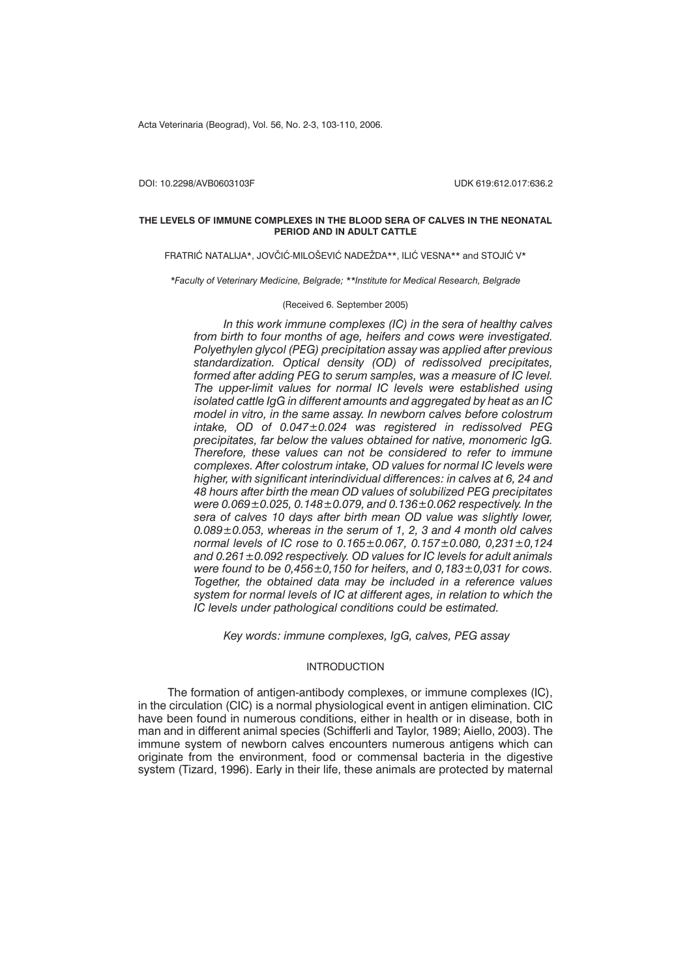Acta Veterinaria (Beograd), Vol. 56, No. 2-3, 103-110, 2006.

DOI: 10.2298/AVB0603103F UDK 619:612.017:636.2

#### **THE LEVELS OF IMMUNE COMPLEXES IN THE BLOOD SERA OF CALVES IN THE NEONATAL PERIOD AND IN ADULT CATTLE**

FRATRIĆ NATALIJA\*, JOVČIĆ-MILOŠEVIĆ NADEŽDA\*\*, ILIĆ VESNA\*\* and STOJIĆ V\*

*\*Faculty of Veterinary Medicine, Belgrade; \*\*Institute for Medical Research, Belgrade*

### (Received 6. September 2005)

*In this work immune complexes (IC) in the sera of healthy calves from birth to four months of age, heifers and cows were investigated. Polyethylen glycol (PEG) precipitation assay was applied after previous standardization. Optical density (OD) of redissolved precipitates, formed after adding PEG to serum samples, was a measure of IC level. The upper-limit values for normal IC levels were established using isolated cattle IgG in different amounts and aggregated by heat as an IC model in vitro, in the same assay. In newborn calves before colostrum intake, OD of 0.047±0.024 was registered in redissolved PEG precipitates, far below the values obtained for native, monomeric IgG. Therefore, these values can not be considered to refer to immune complexes. After colostrum intake, OD values for normal IC levels were higher, with significant interindividual differences: in calves at 6, 24 and 48 hours after birth the mean OD values of solubilized PEG precipitates were 0.069±0.025, 0.148±0.079, and 0.136±0.062 respectively. In the sera of calves 10 days after birth mean OD value was slightly lower, 0.089±0.053, whereas in the serum of 1, 2, 3 and 4 month old calves normal levels of IC rose to 0.165±0.067, 0.157±0.080, 0,231±0,124 and 0.261±0.092 respectively. OD values for IC levels for adult animals were found to be 0,456±0,150 for heifers, and 0,183±0,031 for cows. Together, the obtained data may be included in a reference values system for normal levels of IC at different ages, in relation to which the IC levels under pathological conditions could be estimated.*

*Key words: immune complexes, IgG, calves, PEG assay*

## INTRODUCTION

The formation of antigen-antibody complexes, or immune complexes (IC), in the circulation (CIC) is a normal physiological event in antigen elimination. CIC have been found in numerous conditions, either in health or in disease, both in man and in different animal species (Schifferli and Taylor, 1989; Aiello, 2003). The immune system of newborn calves encounters numerous antigens which can originate from the environment, food or commensal bacteria in the digestive system (Tizard, 1996). Early in their life, these animals are protected by maternal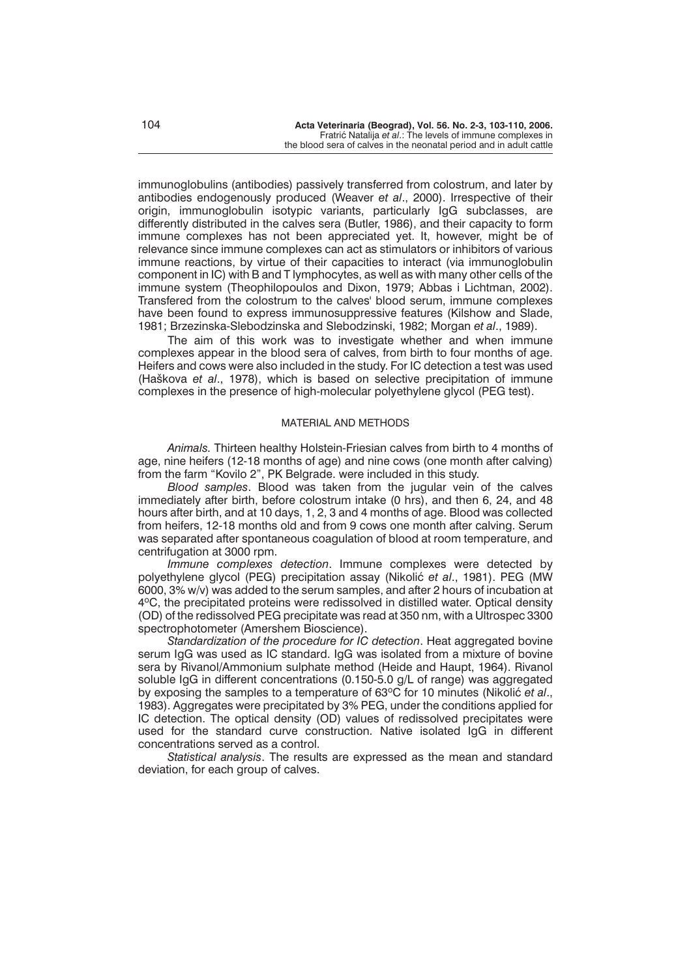immunoglobulins (antibodies) passively transferred from colostrum, and later by antibodies endogenously produced (Weaver *et al*., 2000). Irrespective of their origin, immunoglobulin isotypic variants, particularly IgG subclasses, are differently distributed in the calves sera (Butler, 1986), and their capacity to form immune complexes has not been appreciated yet. It, however, might be of relevance since immune complexes can act as stimulators or inhibitors of various immune reactions, by virtue of their capacities to interact (via immunoglobulin component in IC) with B and T lymphocytes, as well as with many other cells of the immune system (Theophilopoulos and Dixon, 1979; Abbas i Lichtman, 2002). Transfered from the colostrum to the calves' blood serum, immune complexes have been found to express immunosuppressive features (Kilshow and Slade, 1981; Brzezinska-Slebodzinska and Slebodzinski, 1982; Morgan *et al*., 1989).

The aim of this work was to investigate whether and when immune complexes appear in the blood sera of calves, from birth to four months of age. Heifers and cows were also included in the study. For IC detection a test was used (Ha{kova *et al*., 1978), which is based on selective precipitation of immune complexes in the presence of high-molecular polyethylene glycol (PEG test).

#### MATERIAL AND METHODS

*Animals.* Thirteen healthy Holstein-Friesian calves from birth to 4 months of age, nine heifers (12-18 months of age) and nine cows (one month after calving) from the farm "Kovilo 2", PK Belgrade. were included in this study.

*Blood samples*. Blood was taken from the jugular vein of the calves immediately after birth, before colostrum intake (0 hrs), and then 6, 24, and 48 hours after birth, and at 10 days, 1, 2, 3 and 4 months of age. Blood was collected from heifers, 12-18 months old and from 9 cows one month after calving. Serum was separated after spontaneous coagulation of blood at room temperature, and centrifugation at 3000 rpm.

*Immune complexes detection*. Immune complexes were detected by polyethylene glycol (PEG) precipitation assay (Nikolić *et al.*, 1981). PEG (MW 6000, 3% w/v) was added to the serum samples, and after 2 hours of incubation at 4<sup>o</sup>C, the precipitated proteins were redissolved in distilled water. Optical density (OD) of the redissolved PEG precipitate was read at 350 nm, with a Ultrospec 3300 spectrophotometer (Amershem Bioscience).

*Standardization of the procedure for IC detection*. Heat aggregated bovine serum IgG was used as IC standard. IgG was isolated from a mixture of bovine sera by Rivanol/Ammonium sulphate method (Heide and Haupt, 1964). Rivanol soluble IgG in different concentrations (0.150-5.0 g/L of range) was aggregated by exposing the samples to a temperature of 63<sup>o</sup>C for 10 minutes (Nikolić *et al.*, 1983). Aggregates were precipitated by 3% PEG, under the conditions applied for IC detection. The optical density (OD) values of redissolved precipitates were used for the standard curve construction. Native isolated IgG in different concentrations served as a control.

*Statistical analysis*. The results are expressed as the mean and standard deviation, for each group of calves.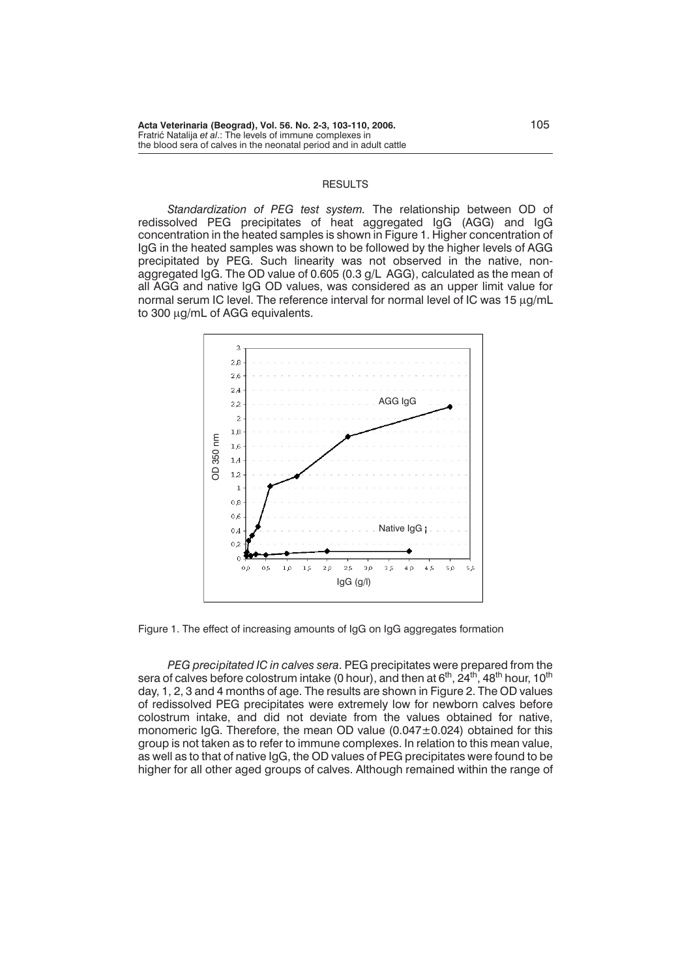#### **RESULTS**

*Standardization of PEG test system.* The relationship between OD of redissolved PEG precipitates of heat aggregated IgG (AGG) and IgG concentration in the heated samples is shown in Figure 1. Higher concentration of IgG in the heated samples was shown to be followed by the higher levels of AGG precipitated by PEG. Such linearity was not observed in the native, nonaggregated IgG. The OD value of 0.605 (0.3 g/L AGG), calculated as the mean of all AGG and native IgG OD values, was considered as an upper limit value for normal serum IC level. The reference interval for normal level of IC was 15  $\mu q/mL$ to 300 µg/mL of AGG equivalents.



Figure 1. The effect of increasing amounts of IgG on IgG aggregates formation

*PEG precipitated IC in calves sera*. PEG precipitates were prepared from the sera of calves before colostrum intake (0 hour), and then at  $6<sup>th</sup>$ , 24<sup>th</sup>, 48<sup>th</sup> hour, 10<sup>th</sup> day, 1, 2, 3 and 4 months of age. The results are shown in Figure 2. The OD values of redissolved PEG precipitates were extremely low for newborn calves before colostrum intake, and did not deviate from the values obtained for native, monomeric IgG. Therefore, the mean OD value (0.047±0.024) obtained for this group is not taken as to refer to immune complexes. In relation to this mean value, as well as to that of native IgG, the OD values of PEG precipitates were found to be higher for all other aged groups of calves. Although remained within the range of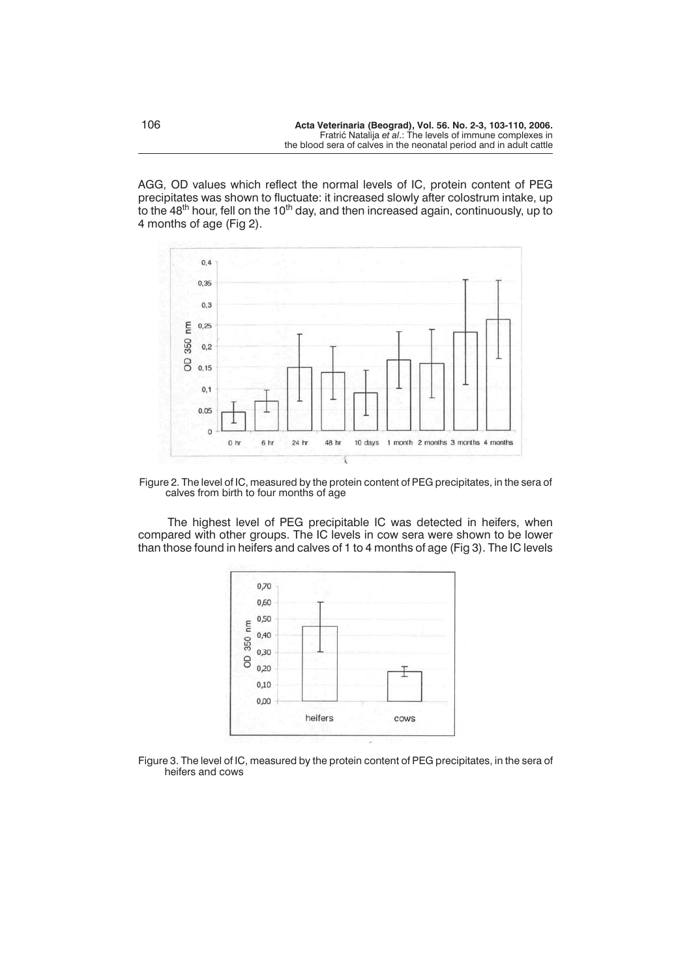AGG, OD values which reflect the normal levels of IC, protein content of PEG precipitates was shown to fluctuate: it increased slowly after colostrum intake, up to the 48<sup>th</sup> hour, fell on the 10<sup>th</sup> day, and then increased again, continuously, up to 4 months of age (Fig 2).



Figure 2. The level of IC, measured by the protein content of PEG precipitates, in the sera of calves from birth to four months of age

The highest level of PEG precipitable IC was detected in heifers, when compared with other groups. The IC levels in cow sera were shown to be lower than those found in heifers and calves of 1 to 4 months of age (Fig 3). The IC levels



Figure 3. The level of IC, measured by the protein content of PEG precipitates, in the sera of heifers and cows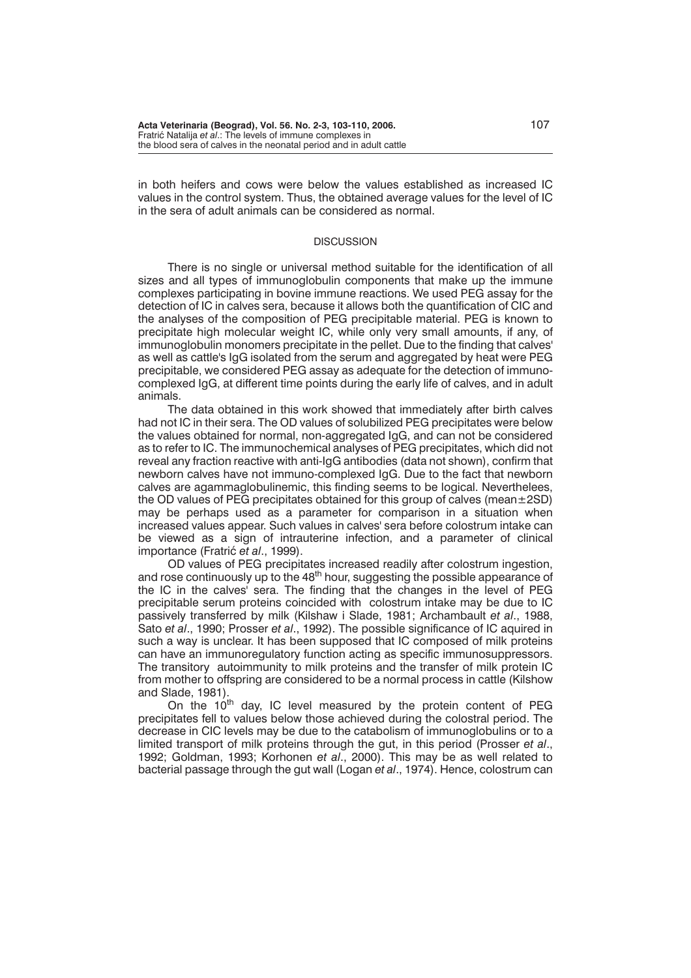in both heifers and cows were below the values established as increased IC values in the control system. Thus, the obtained average values for the level of IC in the sera of adult animals can be considered as normal.

#### **DISCUSSION**

There is no single or universal method suitable for the identification of all sizes and all types of immunoglobulin components that make up the immune complexes participating in bovine immune reactions. We used PEG assay for the detection of IC in calves sera, because it allows both the quantification of CIC and the analyses of the composition of PEG precipitable material. PEG is known to precipitate high molecular weight IC, while only very small amounts, if any, of immunoglobulin monomers precipitate in the pellet. Due to the finding that calves' as well as cattle's IgG isolated from the serum and aggregated by heat were PEG precipitable, we considered PEG assay as adequate for the detection of immunocomplexed IgG, at different time points during the early life of calves, and in adult animals.

The data obtained in this work showed that immediately after birth calves had not IC in their sera. The OD values of solubilized PEG precipitates were below the values obtained for normal, non-aggregated IgG, and can not be considered as to refer to IC. The immunochemical analyses of PEG precipitates, which did not reveal any fraction reactive with anti-IgG antibodies (data not shown), confirm that newborn calves have not immuno-complexed IgG. Due to the fact that newborn calves are agammaglobulinemic, this finding seems to be logical. Neverthelees, the OD values of PEG precipitates obtained for this group of calves (mean±2SD) may be perhaps used as a parameter for comparison in a situation when increased values appear. Such values in calves' sera before colostrum intake can be viewed as a sign of intrauterine infection, and a parameter of clinical importance (Fratrić *et al.*, 1999).

OD values of PEG precipitates increased readily after colostrum ingestion, and rose continuously up to the 48<sup>th</sup> hour, suggesting the possible appearance of the IC in the calves' sera. The finding that the changes in the level of PEG precipitable serum proteins coincided with colostrum intake may be due to IC passively transferred by milk (Kilshaw i Slade, 1981; Archambault *et al*., 1988, Sato *et al*., 1990; Prosser *et al*., 1992). The possible significance of IC aquired in such a way is unclear. It has been supposed that IC composed of milk proteins can have an immunoregulatory function acting as specific immunosuppressors. The transitory autoimmunity to milk proteins and the transfer of milk protein IC from mother to offspring are considered to be a normal process in cattle (Kilshow and Slade, 1981).

On the 10<sup>th</sup> day, IC level measured by the protein content of PEG precipitates fell to values below those achieved during the colostral period. The decrease in CIC levels may be due to the catabolism of immunoglobulins or to a limited transport of milk proteins through the gut, in this period (Prosser *et al*., 1992; Goldman, 1993; Korhonen *et al*., 2000). This may be as well related to bacterial passage through the gut wall (Logan *et al*., 1974). Hence, colostrum can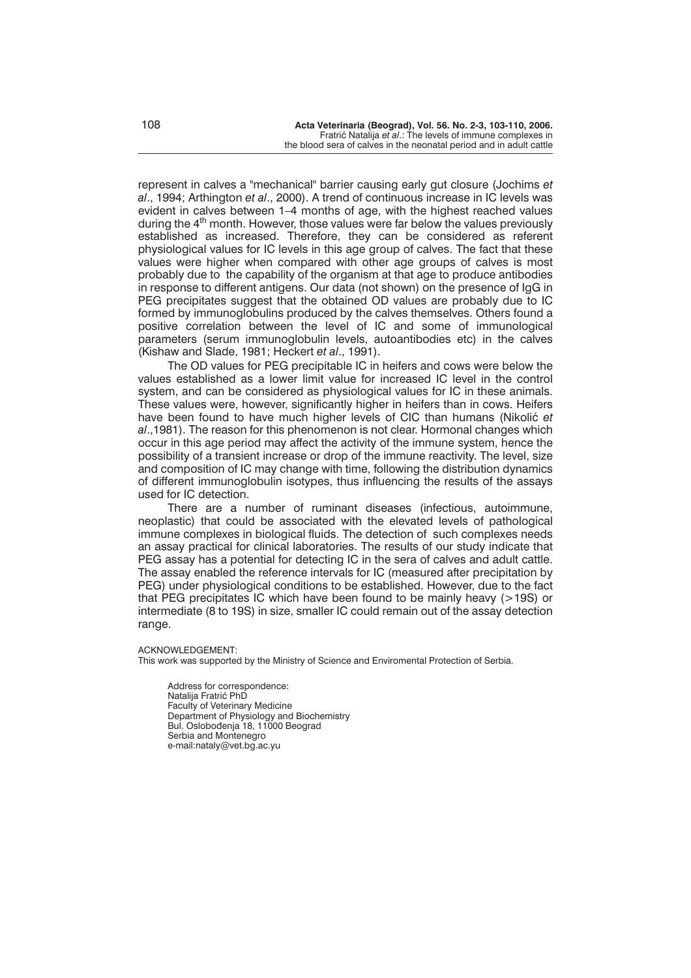represent in calves a "mechanical" barrier causing early gut closure (Jochims *et al*., 1994; Arthington *et al*., 2000). A trend of continuous increase in IC levels was evident in calves between 1–4 months of age, with the highest reached values during the  $4<sup>th</sup>$  month. However, those values were far below the values previously established as increased. Therefore, they can be considered as referent physiological values for IC levels in this age group of calves. The fact that these values were higher when compared with other age groups of calves is most probably due to the capability of the organism at that age to produce antibodies in response to different antigens. Our data (not shown) on the presence of IgG in PEG precipitates suggest that the obtained OD values are probably due to IC formed by immunoglobulins produced by the calves themselves. Others found a positive correlation between the level of IC and some of immunological parameters (serum immunoglobulin levels, autoantibodies etc) in the calves (Kishaw and Slade, 1981; Heckert *et al*., 1991).

The OD values for PEG precipitable IC in heifers and cows were below the values established as a lower limit value for increased IC level in the control system, and can be considered as physiological values for IC in these animals. These values were, however, significantly higher in heifers than in cows. Heifers have been found to have much higher levels of CIC than humans (Nikolić et *al*.,1981). The reason for this phenomenon is not clear. Hormonal changes which occur in this age period may affect the activity of the immune system, hence the possibility of a transient increase or drop of the immune reactivity. The level, size and composition of IC may change with time, following the distribution dynamics of different immunoglobulin isotypes, thus influencing the results of the assays used for IC detection.

There are a number of ruminant diseases (infectious, autoimmune, neoplastic) that could be associated with the elevated levels of pathological immune complexes in biological fluids. The detection of such complexes needs an assay practical for clinical laboratories. The results of our study indicate that PEG assay has a potential for detecting IC in the sera of calves and adult cattle. The assay enabled the reference intervals for IC (measured after precipitation by PEG) under physiological conditions to be established. However, due to the fact that PEG precipitates IC which have been found to be mainly heavy (>19S) or intermediate (8 to 19S) in size, smaller IC could remain out of the assay detection range.

ACKNOWLEDGEMENT:

This work was supported by the Ministry of Science and Enviromental Protection of Serbia.

Address for correspondence: Natalija Fratrić PhD Faculty of Veterinary Medicine Department of Physiology and Biochemistry Bul. Oslobođenja 18, 11000 Beograd Serbia and Montenegro e-mail:nataly@vet.bg.ac.yu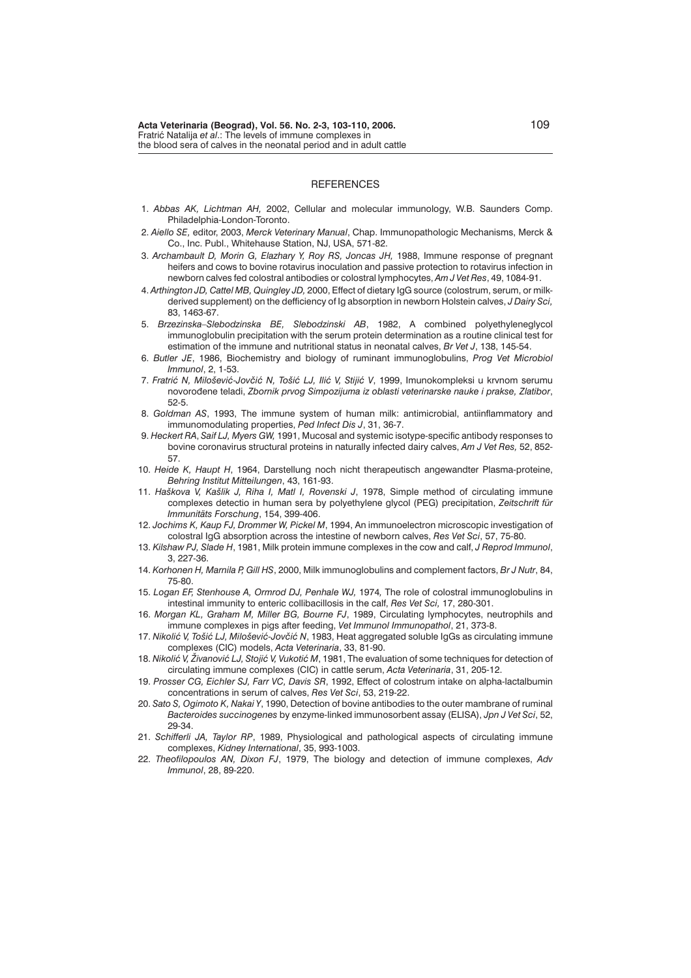#### **REFERENCES**

- 1. *Abbas AK, Lichtman AH,* 2002, Cellular and molecular immunology, W.B. Saunders Comp. Philadelphia-London-Toronto.
- 2. *Aiello SE,* editor, 2003, *Merck Veterinary Manual*, Chap. Immunopathologic Mechanisms, Merck & Co., Inc. Publ., Whitehause Station, NJ, USA, 571-82.
- 3. *Archambault D, Morin G, Elazhary Y, Roy RS, Joncas JH,* 1988, Immune response of pregnant heifers and cows to bovine rotavirus inoculation and passive protection to rotavirus infection in newborn calves fed colostral antibodies or colostral lymphocytes, *Am J Vet Res*, 49, 1084-91.
- 4. *Arthington JD, Cattel MB, Quingley JD,* 2000, Effect of dietary IgG source (colostrum, serum, or milkderived supplement) on the defficiency of Ig absorption in newborn Holstein calves, *J Dairy Sci,* 83, 1463-67.
- 5. *Brzezinska–Slebodzinska BE, Slebodzinski AB*, 1982, A combined polyethyleneglycol immunoglobulin precipitation with the serum protein determination as a routine clinical test for estimation of the immune and nutritional status in neonatal calves, *Br Vet J*, 138, 145-54.
- 6. *Butler JE*, 1986, Biochemistry and biology of ruminant immunoglobulins, *Prog Vet Microbiol Immunol*, 2, 1-53.
- 7. Fratrić N, Milošević-Jovčić N, Tošić LJ, Ilić V, Stijić V, 1999, Imunokompleksi u krvnom serumu novoro|ene teladi, *Zbornik prvog Simpozijuma iz oblasti veterinarske nauke i prakse, Zlatibor*, 52-5.
- 8. *Goldman AS*, 1993, The immune system of human milk: antimicrobial, antiinflammatory and immunomodulating properties, *Ped Infect Dis J*, 31, 36-7.
- 9. *Heckert RA*, *Saif LJ, Myers GW,* 1991, Mucosal and systemic isotype-specific antibody responses to bovine coronavirus structural proteins in naturally infected dairy calves, *Am J Vet Res,* 52, 852- 57.
- 10. *Heide K, Haupt H*, 1964, Darstellung noch nicht therapeutisch angewandter Plasma-proteine, *Behring Institut Mitteilungen*, 43, 161-93.
- 11. *Ha{kova V, Ka{lik J, Riha I, Matl I, Rovenski J*, 1978, Simple method of circulating immune complexes detectio in human sera by polyethylene glycol (PEG) precipitation, *Zeitschrift für Immunitäts Forschung*, 154, 399-406.
- 12. *Jochims K, Kaup FJ, Drommer W, Pickel M*, 1994, An immunoelectron microscopic investigation of colostral IgG absorption across the intestine of newborn calves, *Res Vet Sci*, 57, 75-80.
- 13. *Kilshaw PJ, Slade H*, 1981, Milk protein immune complexes in the cow and calf, *J Reprod Immunol*, 3, 227-36.
- 14. *Korhonen H, Marnila P, Gill HS*, 2000, Milk immunoglobulins and complement factors, *Br J Nutr*, 84, 75-80.
- 15. *Logan EF, Stenhouse A, Ormrod DJ, Penhale WJ,* 1974*,* The role of colostral immunoglobulins in intestinal immunity to enteric collibacillosis in the calf, *Res Vet Sci,* 17, 280-301.
- 16. *Morgan KL, Graham M, Miller BG, Bourne FJ*, 1989, Circulating lymphocytes, neutrophils and immune complexes in pigs after feeding, *Vet Immunol Immunopathol*, 21, 373-8.
- 17. Nikolić V, Tošić LJ, Milošević-Jovčić N, 1983, Heat aggregated soluble IgGs as circulating immune complexes (CIC) models, *Acta Veterinaria*, 33, 81-90.
- 18. Nikolić V, Živanović LJ, Stojić V, Vukotić M, 1981. The evaluation of some techniques for detection of circulating immune complexes (CIC) in cattle serum, *Acta Veterinaria*, 31, 205-12.
- 19. *Prosser CG, Eichler SJ, Farr VC, Davis SR*, 1992, Effect of colostrum intake on alpha-lactalbumin concentrations in serum of calves, *Res Vet Sci*, 53, 219-22.
- 20. *Sato S, Ogimoto K, Nakai Y*, 1990, Detection of bovine antibodies to the outer mambrane of ruminal *Bacteroides succinogenes* by enzyme-linked immunosorbent assay (ELISA), *Jpn J Vet Sci*, 52, 29-34.
- 21. *Schifferli JA, Taylor RP*, 1989, Physiological and pathological aspects of circulating immune complexes, *Kidney International*, 35, 993-1003.
- 22. *Theofilopoulos AN, Dixon FJ*, 1979, The biology and detection of immune complexes, *Adv Immunol*, 28, 89-220.